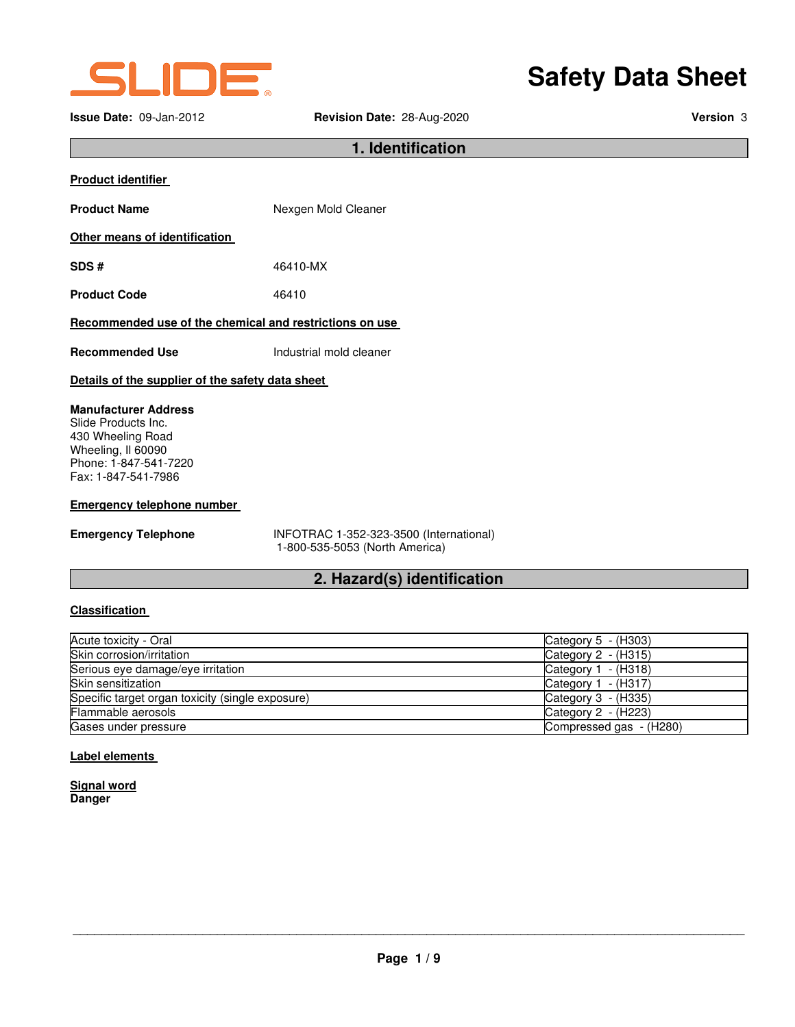

**Issue Date:** 09-Jan-2012 **Revision Date:** 28-Aug-2020 **Version** 3

# **Safety Data Sheet**

**1. Identification** 

| <b>Product identifier</b>                                                                                                                     |                                                                           |  |
|-----------------------------------------------------------------------------------------------------------------------------------------------|---------------------------------------------------------------------------|--|
| <b>Product Name</b>                                                                                                                           | Nexgen Mold Cleaner                                                       |  |
| Other means of identification                                                                                                                 |                                                                           |  |
| SDS#                                                                                                                                          | 46410-MX                                                                  |  |
| <b>Product Code</b>                                                                                                                           | 46410                                                                     |  |
| Recommended use of the chemical and restrictions on use                                                                                       |                                                                           |  |
| <b>Recommended Use</b>                                                                                                                        | Industrial mold cleaner                                                   |  |
| Details of the supplier of the safety data sheet                                                                                              |                                                                           |  |
| <b>Manufacturer Address</b><br>Slide Products Inc.<br>430 Wheeling Road<br>Wheeling, II 60090<br>Phone: 1-847-541-7220<br>Fax: 1-847-541-7986 |                                                                           |  |
| <b>Emergency telephone number</b>                                                                                                             |                                                                           |  |
| <b>Emergency Telephone</b>                                                                                                                    | INFOTRAC 1-352-323-3500 (International)<br>1-800-535-5053 (North America) |  |

# **2. Hazard(s) identification**

## **Classification**

| Acute toxicity - Oral                            | Category $5 - (H303)$   |
|--------------------------------------------------|-------------------------|
| Skin corrosion/irritation                        | Category $2 - (H315)$   |
| Serious eye damage/eye irritation                | Category $1 - (H318)$   |
| Skin sensitization                               | Category $1 - (H317)$   |
| Specific target organ toxicity (single exposure) | Category $3 - (H335)$   |
| Flammable aerosols                               | Category $2 - (H223)$   |
| Gases under pressure                             | Compressed gas - (H280) |

#### **Label elements**

| <b>Signal word</b> |  |
|--------------------|--|
| <b>Danger</b>      |  |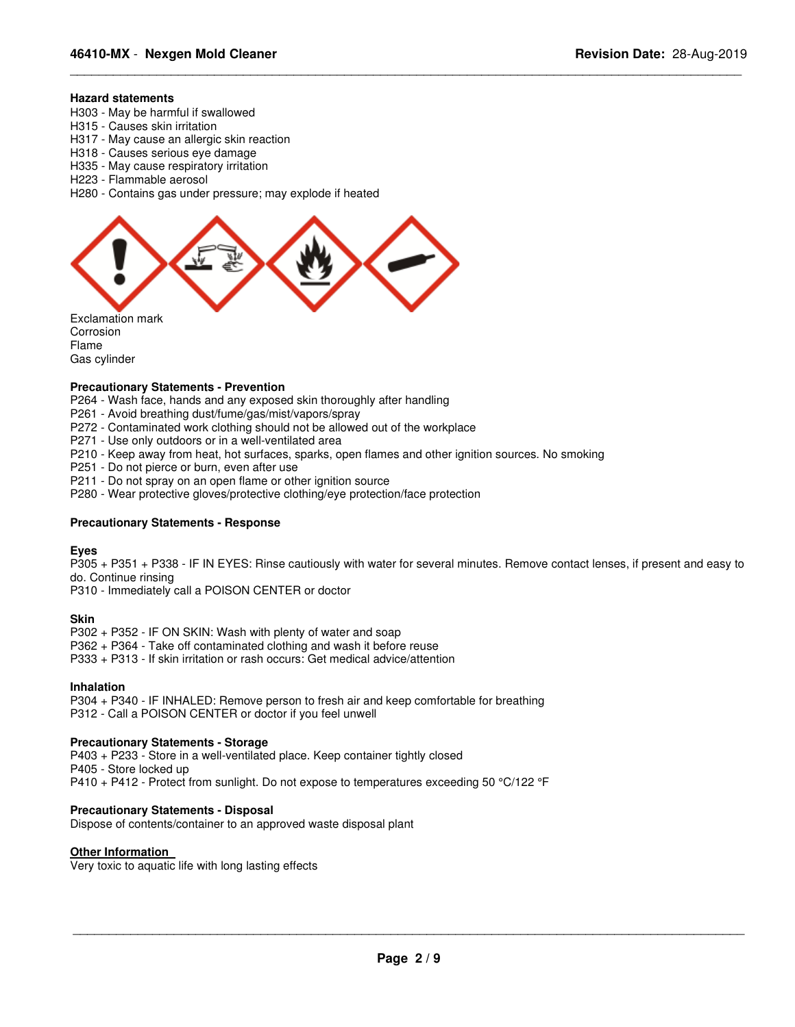#### **Hazard statements**

- H303 May be harmful if swallowed
- H315 Causes skin irritation
- H317 May cause an allergic skin reaction
- H318 Causes serious eye damage
- H335 May cause respiratory irritation
- H223 Flammable aerosol
- H280 Contains gas under pressure; may explode if heated



Corrosion Flame Gas cylinder

#### **Precautionary Statements - Prevention**

P264 - Wash face, hands and any exposed skin thoroughly after handling

- P261 Avoid breathing dust/fume/gas/mist/vapors/spray
- P272 Contaminated work clothing should not be allowed out of the workplace
- P271 Use only outdoors or in a well-ventilated area
- P210 Keep away from heat, hot surfaces, sparks, open flames and other ignition sources. No smoking

P251 - Do not pierce or burn, even after use

- P211 Do not spray on an open flame or other ignition source
- P280 Wear protective gloves/protective clothing/eye protection/face protection

#### **Precautionary Statements - Response**

#### **Eyes**

P305 + P351 + P338 - IF IN EYES: Rinse cautiously with water for several minutes. Remove contact lenses, if present and easy to do. Continue rinsing

\_\_\_\_\_\_\_\_\_\_\_\_\_\_\_\_\_\_\_\_\_\_\_\_\_\_\_\_\_\_\_\_\_\_\_\_\_\_\_\_\_\_\_\_\_\_\_\_\_\_\_\_\_\_\_\_\_\_\_\_\_\_\_\_\_\_\_\_\_\_\_\_\_\_\_\_\_\_\_\_\_\_\_\_\_\_\_\_\_\_\_\_\_

P310 - Immediately call a POISON CENTER or doctor

#### **Skin**

P302 + P352 - IF ON SKIN: Wash with plenty of water and soap

P362 + P364 - Take off contaminated clothing and wash it before reuse

P333 + P313 - If skin irritation or rash occurs: Get medical advice/attention

#### **Inhalation**

P304 + P340 - IF INHALED: Remove person to fresh air and keep comfortable for breathing P312 - Call a POISON CENTER or doctor if you feel unwell

#### **Precautionary Statements - Storage**

P403 + P233 - Store in a well-ventilated place. Keep container tightly closed P405 - Store locked up P410 + P412 - Protect from sunlight. Do not expose to temperatures exceeding 50 °C/122 °F

#### **Precautionary Statements - Disposal**

Dispose of contents/container to an approved waste disposal plant

#### **Other Information**

Very toxic to aquatic life with long lasting effects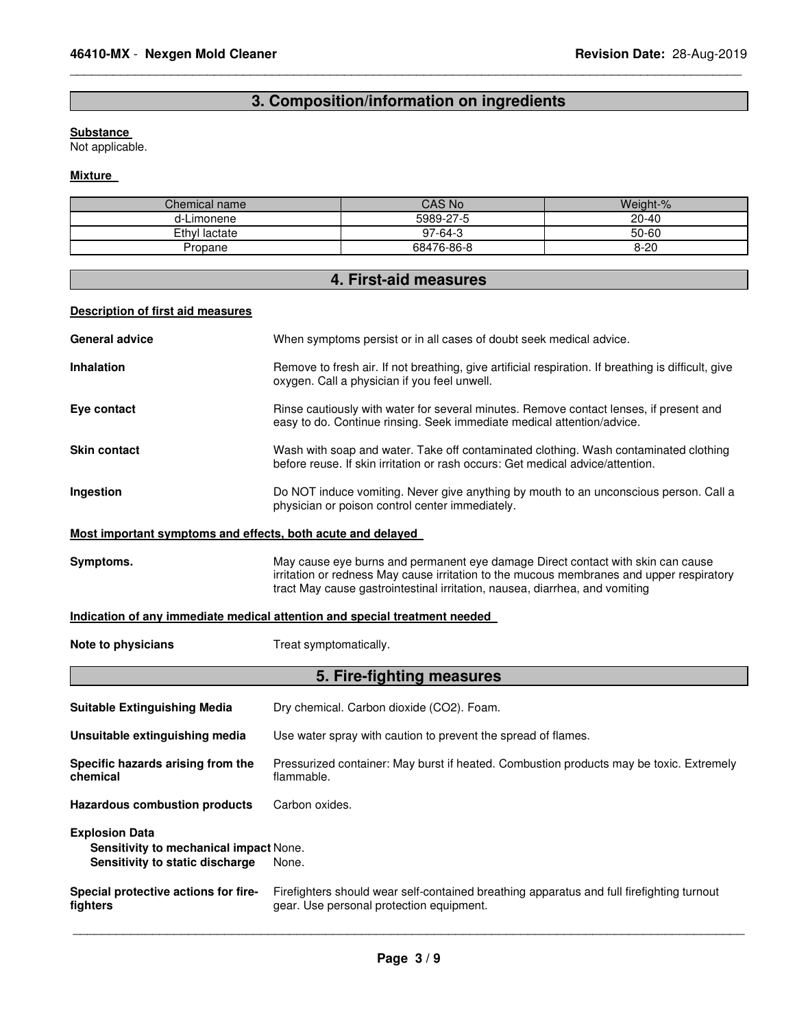# **3. Composition/information on ingredients**

\_\_\_\_\_\_\_\_\_\_\_\_\_\_\_\_\_\_\_\_\_\_\_\_\_\_\_\_\_\_\_\_\_\_\_\_\_\_\_\_\_\_\_\_\_\_\_\_\_\_\_\_\_\_\_\_\_\_\_\_\_\_\_\_\_\_\_\_\_\_\_\_\_\_\_\_\_\_\_\_\_\_\_\_\_\_\_\_\_\_\_\_\_

# **Substance**

Not applicable.

#### **Mixture**

| Chemical name | CAS No     | Weight-%  |
|---------------|------------|-----------|
| d-Limonene    | 5989-27-5  | $20 - 40$ |
| Ethyl lactate | $97-64-3$  | 50-60     |
| Propane       | 68476-86-8 | $8 - 20$  |

# **4. First-aid measures**

# **Description of first aid measures**

| <b>General advice</b>                                                                              | When symptoms persist or in all cases of doubt seek medical advice.                                                                                                                                                                                        |
|----------------------------------------------------------------------------------------------------|------------------------------------------------------------------------------------------------------------------------------------------------------------------------------------------------------------------------------------------------------------|
| <b>Inhalation</b>                                                                                  | Remove to fresh air. If not breathing, give artificial respiration. If breathing is difficult, give<br>oxygen. Call a physician if you feel unwell.                                                                                                        |
| Eve contact                                                                                        | Rinse cautiously with water for several minutes. Remove contact lenses, if present and<br>easy to do. Continue rinsing. Seek immediate medical attention/advice.                                                                                           |
| <b>Skin contact</b>                                                                                | Wash with soap and water. Take off contaminated clothing. Wash contaminated clothing<br>before reuse. If skin irritation or rash occurs: Get medical advice/attention.                                                                                     |
| Ingestion                                                                                          | Do NOT induce vomiting. Never give anything by mouth to an unconscious person. Call a<br>physician or poison control center immediately.                                                                                                                   |
| Most important symptoms and effects, both acute and delayed                                        |                                                                                                                                                                                                                                                            |
| Symptoms.                                                                                          | May cause eye burns and permanent eye damage Direct contact with skin can cause<br>irritation or redness May cause irritation to the mucous membranes and upper respiratory<br>tract May cause gastrointestinal irritation, nausea, diarrhea, and vomiting |
|                                                                                                    | Indication of any immediate medical attention and special treatment needed                                                                                                                                                                                 |
|                                                                                                    |                                                                                                                                                                                                                                                            |
| Note to physicians                                                                                 | Treat symptomatically.                                                                                                                                                                                                                                     |
|                                                                                                    | 5. Fire-fighting measures                                                                                                                                                                                                                                  |
| <b>Suitable Extinguishing Media</b>                                                                | Dry chemical. Carbon dioxide (CO2). Foam.                                                                                                                                                                                                                  |
| Unsuitable extinguishing media                                                                     | Use water spray with caution to prevent the spread of flames.                                                                                                                                                                                              |
| Specific hazards arising from the<br>chemical                                                      | Pressurized container: May burst if heated. Combustion products may be toxic. Extremely<br>flammable.                                                                                                                                                      |
| <b>Hazardous combustion products</b>                                                               | Carbon oxides.                                                                                                                                                                                                                                             |
| <b>Explosion Data</b><br>Sensitivity to mechanical impact None.<br>Sensitivity to static discharge | None.                                                                                                                                                                                                                                                      |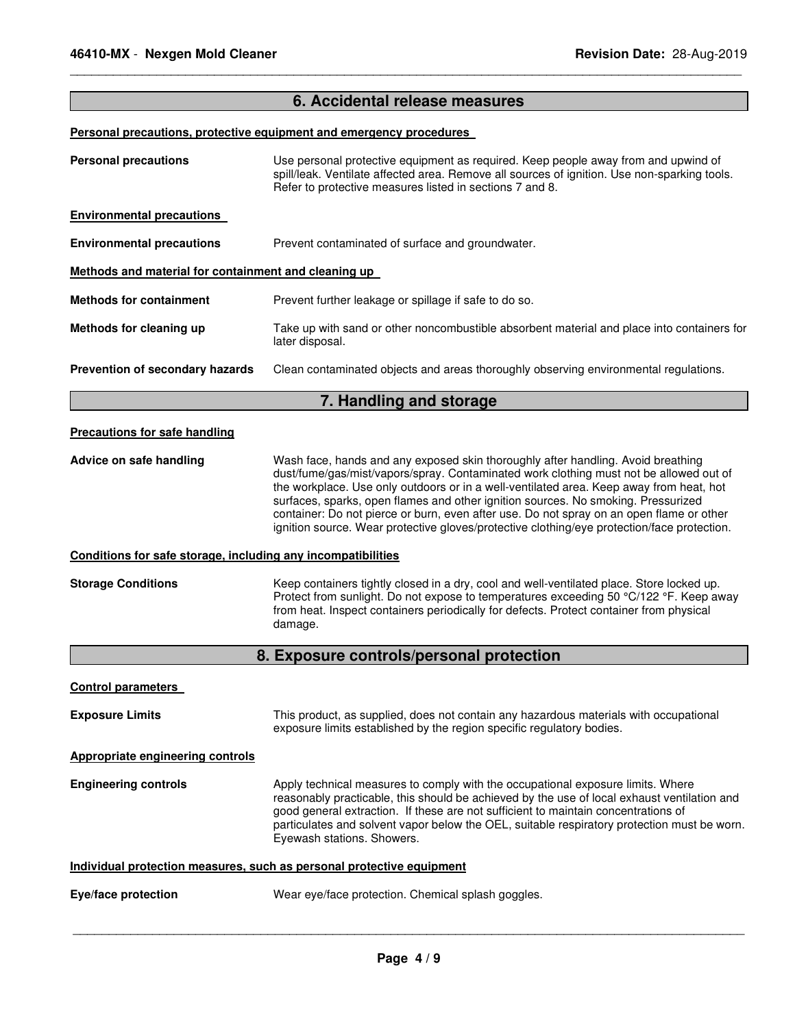## **6. Accidental release measures**

\_\_\_\_\_\_\_\_\_\_\_\_\_\_\_\_\_\_\_\_\_\_\_\_\_\_\_\_\_\_\_\_\_\_\_\_\_\_\_\_\_\_\_\_\_\_\_\_\_\_\_\_\_\_\_\_\_\_\_\_\_\_\_\_\_\_\_\_\_\_\_\_\_\_\_\_\_\_\_\_\_\_\_\_\_\_\_\_\_\_\_\_\_

#### **Personal precautions, protective equipment and emergency procedures**

| <b>Personal precautions</b>                                  | Use personal protective equipment as required. Keep people away from and upwind of<br>spill/leak. Ventilate affected area. Remove all sources of ignition. Use non-sparking tools.<br>Refer to protective measures listed in sections 7 and 8.                                                                                                                                                                                                                                                                                                        |
|--------------------------------------------------------------|-------------------------------------------------------------------------------------------------------------------------------------------------------------------------------------------------------------------------------------------------------------------------------------------------------------------------------------------------------------------------------------------------------------------------------------------------------------------------------------------------------------------------------------------------------|
| <b>Environmental precautions</b>                             |                                                                                                                                                                                                                                                                                                                                                                                                                                                                                                                                                       |
| <b>Environmental precautions</b>                             | Prevent contaminated of surface and groundwater.                                                                                                                                                                                                                                                                                                                                                                                                                                                                                                      |
| Methods and material for containment and cleaning up         |                                                                                                                                                                                                                                                                                                                                                                                                                                                                                                                                                       |
| <b>Methods for containment</b>                               | Prevent further leakage or spillage if safe to do so.                                                                                                                                                                                                                                                                                                                                                                                                                                                                                                 |
| Methods for cleaning up                                      | Take up with sand or other noncombustible absorbent material and place into containers for<br>later disposal.                                                                                                                                                                                                                                                                                                                                                                                                                                         |
| Prevention of secondary hazards                              | Clean contaminated objects and areas thoroughly observing environmental regulations.                                                                                                                                                                                                                                                                                                                                                                                                                                                                  |
|                                                              | 7. Handling and storage                                                                                                                                                                                                                                                                                                                                                                                                                                                                                                                               |
| <b>Precautions for safe handling</b>                         |                                                                                                                                                                                                                                                                                                                                                                                                                                                                                                                                                       |
| Advice on safe handling                                      | Wash face, hands and any exposed skin thoroughly after handling. Avoid breathing<br>dust/fume/gas/mist/vapors/spray. Contaminated work clothing must not be allowed out of<br>the workplace. Use only outdoors or in a well-ventilated area. Keep away from heat, hot<br>surfaces, sparks, open flames and other ignition sources. No smoking. Pressurized<br>container: Do not pierce or burn, even after use. Do not spray on an open flame or other<br>ignition source. Wear protective gloves/protective clothing/eye protection/face protection. |
| Conditions for safe storage, including any incompatibilities |                                                                                                                                                                                                                                                                                                                                                                                                                                                                                                                                                       |
| <b>Storage Conditions</b>                                    | Keep containers tightly closed in a dry, cool and well-ventilated place. Store locked up.<br>Protect from sunlight. Do not expose to temperatures exceeding 50 °C/122 °F. Keep away<br>from heat. Inspect containers periodically for defects. Protect container from physical<br>damage.                                                                                                                                                                                                                                                             |
|                                                              | 8. Exposure controls/personal protection                                                                                                                                                                                                                                                                                                                                                                                                                                                                                                              |
| <b>Control parameters</b>                                    |                                                                                                                                                                                                                                                                                                                                                                                                                                                                                                                                                       |
| <b>Exposure Limits</b>                                       | This product, as supplied, does not contain any hazardous materials with occupational<br>exposure limits established by the region specific regulatory bodies.                                                                                                                                                                                                                                                                                                                                                                                        |
| <b>Appropriate engineering controls</b>                      |                                                                                                                                                                                                                                                                                                                                                                                                                                                                                                                                                       |

**Engineering controls Apply technical measures to comply with the occupational exposure limits. Where** reasonably practicable, this should be achieved by the use of local exhaust ventilation and good general extraction. If these are not sufficient to maintain concentrations of particulates and solvent vapor below the OEL, suitable respiratory protection must be worn. Eyewash stations. Showers.

#### **Individual protection measures, such as personal protective equipment**

| Eye/face protection | Wear eye/face protection. Chemical splash goggles. |
|---------------------|----------------------------------------------------|
|---------------------|----------------------------------------------------|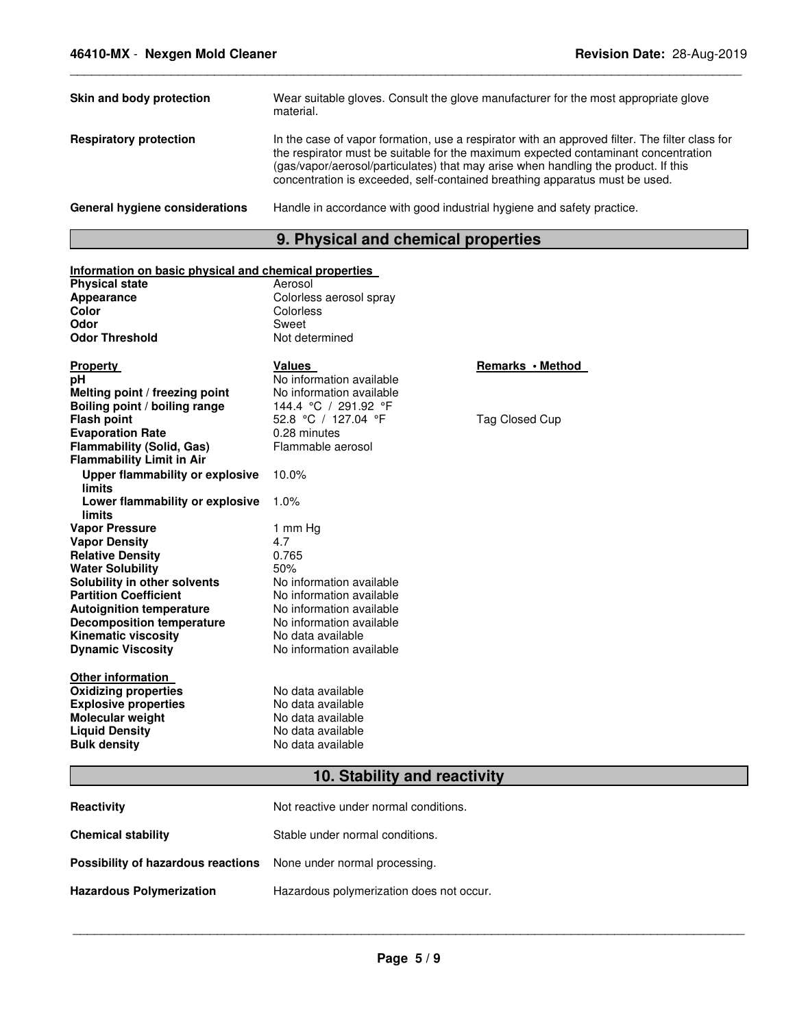| Skin and body protection              | Wear suitable gloves. Consult the glove manufacturer for the most appropriate glove<br>material.                                                                                                                                                                                                                                                          |
|---------------------------------------|-----------------------------------------------------------------------------------------------------------------------------------------------------------------------------------------------------------------------------------------------------------------------------------------------------------------------------------------------------------|
| <b>Respiratory protection</b>         | In the case of vapor formation, use a respirator with an approved filter. The filter class for<br>the respirator must be suitable for the maximum expected contaminant concentration<br>(gas/vapor/aerosol/particulates) that may arise when handling the product. If this<br>concentration is exceeded, self-contained breathing apparatus must be used. |
| <b>General hygiene considerations</b> | Handle in accordance with good industrial hygiene and safety practice.                                                                                                                                                                                                                                                                                    |

\_\_\_\_\_\_\_\_\_\_\_\_\_\_\_\_\_\_\_\_\_\_\_\_\_\_\_\_\_\_\_\_\_\_\_\_\_\_\_\_\_\_\_\_\_\_\_\_\_\_\_\_\_\_\_\_\_\_\_\_\_\_\_\_\_\_\_\_\_\_\_\_\_\_\_\_\_\_\_\_\_\_\_\_\_\_\_\_\_\_\_\_\_

# **9. Physical and chemical properties**

| Information on basic physical and chemical properties |                              |                  |
|-------------------------------------------------------|------------------------------|------------------|
| <b>Physical state</b>                                 | Aerosol                      |                  |
| Appearance                                            | Colorless aerosol spray      |                  |
| Color                                                 | Colorless                    |                  |
| Odor                                                  | Sweet                        |                  |
| <b>Odor Threshold</b>                                 | Not determined               |                  |
|                                                       |                              |                  |
| <b>Property</b>                                       | Values                       | Remarks • Method |
| рH                                                    | No information available     |                  |
| Melting point / freezing point                        | No information available     |                  |
| Boiling point / boiling range                         | 144.4 °C / 291.92 °F         |                  |
| <b>Flash point</b>                                    | 52.8 °C / 127.04 °F          | Tag Closed Cup   |
| <b>Evaporation Rate</b>                               | 0.28 minutes                 |                  |
| <b>Flammability (Solid, Gas)</b>                      | Flammable aerosol            |                  |
| <b>Flammability Limit in Air</b>                      |                              |                  |
| <b>Upper flammability or explosive</b>                | 10.0%                        |                  |
| <b>limits</b>                                         |                              |                  |
| Lower flammability or explosive                       | 1.0%                         |                  |
| <b>limits</b>                                         |                              |                  |
| <b>Vapor Pressure</b>                                 | 1 mm Hg                      |                  |
| <b>Vapor Density</b>                                  | 4.7                          |                  |
| <b>Relative Density</b>                               | 0.765                        |                  |
| <b>Water Solubility</b>                               | 50%                          |                  |
| Solubility in other solvents                          | No information available     |                  |
| <b>Partition Coefficient</b>                          | No information available     |                  |
| <b>Autoignition temperature</b>                       | No information available     |                  |
| <b>Decomposition temperature</b>                      | No information available     |                  |
| <b>Kinematic viscosity</b>                            | No data available            |                  |
| <b>Dynamic Viscosity</b>                              | No information available     |                  |
|                                                       |                              |                  |
| <b>Other information</b>                              |                              |                  |
| <b>Oxidizing properties</b>                           | No data available            |                  |
| <b>Explosive properties</b>                           | No data available            |                  |
| Molecular weight                                      | No data available            |                  |
| <b>Liquid Density</b>                                 | No data available            |                  |
| <b>Bulk density</b>                                   | No data available            |                  |
|                                                       |                              |                  |
|                                                       | 10. Stability and reactivity |                  |

| <b>Reactivity</b>                                                       | Not reactive under normal conditions.    |
|-------------------------------------------------------------------------|------------------------------------------|
| <b>Chemical stability</b>                                               | Stable under normal conditions.          |
| <b>Possibility of hazardous reactions</b> None under normal processing. |                                          |
| <b>Hazardous Polymerization</b>                                         | Hazardous polymerization does not occur. |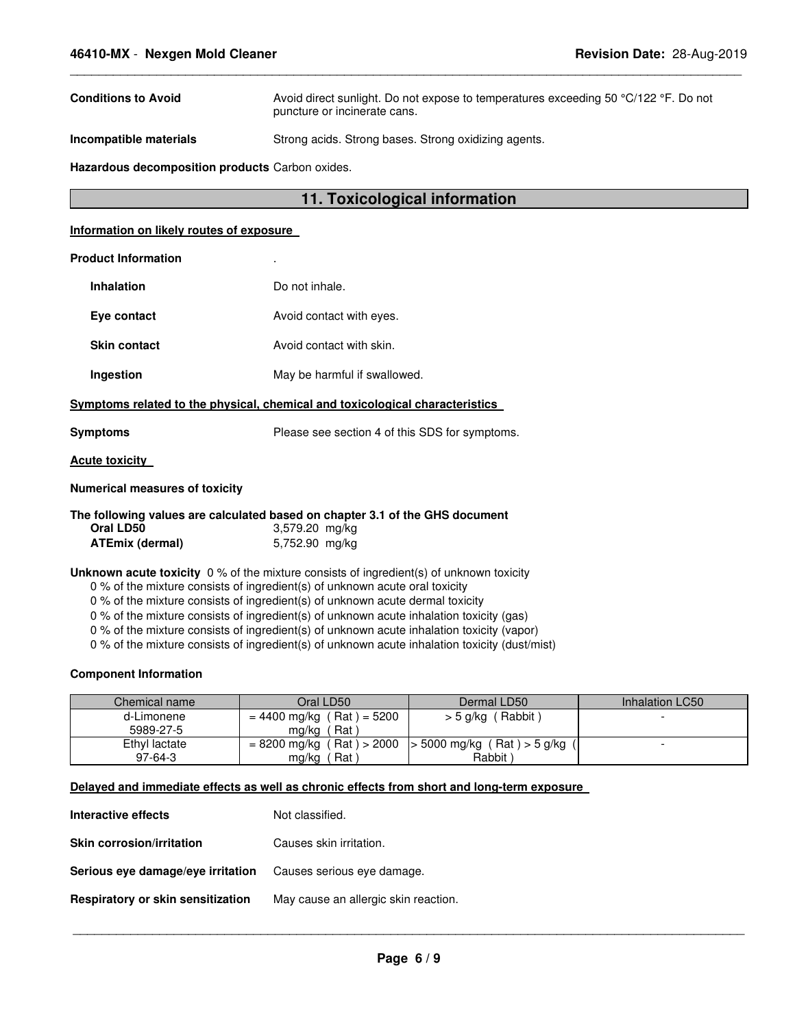| <b>Conditions to Avoid</b> | Avoid direct sunlight. Do not expose to temperatures exceeding 50 °C/122 °F. Do not<br>puncture or incinerate cans. |
|----------------------------|---------------------------------------------------------------------------------------------------------------------|
| Incompatible materials     | Strong acids. Strong bases. Strong oxidizing agents.                                                                |

\_\_\_\_\_\_\_\_\_\_\_\_\_\_\_\_\_\_\_\_\_\_\_\_\_\_\_\_\_\_\_\_\_\_\_\_\_\_\_\_\_\_\_\_\_\_\_\_\_\_\_\_\_\_\_\_\_\_\_\_\_\_\_\_\_\_\_\_\_\_\_\_\_\_\_\_\_\_\_\_\_\_\_\_\_\_\_\_\_\_\_\_\_

**Hazardous decomposition products** Carbon oxides.

# **11. Toxicological information**

#### **Information on likely routes of exposure**

#### **Product Information** .

| Inhalation          | Do not inhale.               |
|---------------------|------------------------------|
| Eve contact         | Avoid contact with eyes.     |
| <b>Skin contact</b> | Avoid contact with skin.     |
| Ingestion           | May be harmful if swallowed. |
|                     |                              |

**Symptoms related to the physical, chemical and toxicological characteristics** 

**Symptoms** Please see section 4 of this SDS for symptoms.

#### **Acute toxicity**

#### **Numerical measures of toxicity**

|                        | The following values are calculated based on chapter 3.1 of the GHS document |
|------------------------|------------------------------------------------------------------------------|
| Oral LD50              | 3,579.20 mg/kg                                                               |
| <b>ATEmix (dermal)</b> | 5,752.90 mg/kg                                                               |

#### **Unknown acute toxicity** 0 % of the mixture consists of ingredient(s) of unknown toxicity

0 % of the mixture consists of ingredient(s) of unknown acute oral toxicity

0 % of the mixture consists of ingredient(s) of unknown acute dermal toxicity

0 % of the mixture consists of ingredient(s) of unknown acute inhalation toxicity (gas)

0 % of the mixture consists of ingredient(s) of unknown acute inhalation toxicity (vapor)

0 % of the mixture consists of ingredient(s) of unknown acute inhalation toxicity (dust/mist)

#### **Component Information**

| Chemical name | Oral LD50                   | Dermal LD50                                               | Inhalation LC50 |
|---------------|-----------------------------|-----------------------------------------------------------|-----------------|
| d-Limonene    | $= 4400$ mg/kg (Rat) = 5200 | > 5 g/kg (Rabbit)                                         |                 |
| 5989-27-5     | Rat<br>mg/kg                |                                                           |                 |
| Ethyl lactate |                             | $= 8200$ mg/kg (Rat) > 2000   > 5000 mg/kg (Rat) > 5 g/kg |                 |
| $97-64-3$     | Rat<br>mg/kg                | Rabbit)                                                   |                 |

#### **Delayed and immediate effects as well as chronic effects from short and long-term exposure**

| Interactive effects               | Not classified.                      |
|-----------------------------------|--------------------------------------|
| <b>Skin corrosion/irritation</b>  | Causes skin irritation.              |
| Serious eye damage/eye irritation | Causes serious eye damage.           |
| Respiratory or skin sensitization | May cause an allergic skin reaction. |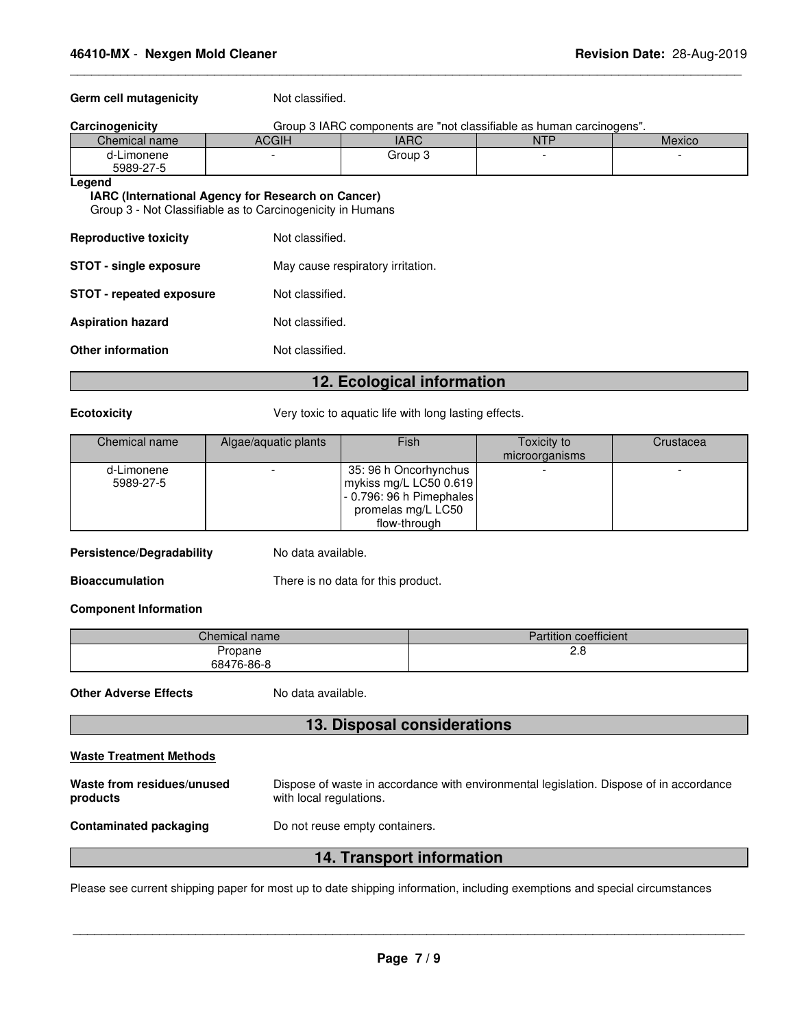#### Germ cell mutagenicity **Not classified.**

| Carcinogenicity         | Group 3 IARC components are "not classifiable as human carcinogens". |         |  |  |  |  |
|-------------------------|----------------------------------------------------------------------|---------|--|--|--|--|
| Chemical name           | ACGIH<br><b>IARC</b><br><b>NTP</b><br>Mexico                         |         |  |  |  |  |
| d-Limonene<br>5989-27-5 |                                                                      | Group 3 |  |  |  |  |
| ∟egend                  |                                                                      |         |  |  |  |  |

\_\_\_\_\_\_\_\_\_\_\_\_\_\_\_\_\_\_\_\_\_\_\_\_\_\_\_\_\_\_\_\_\_\_\_\_\_\_\_\_\_\_\_\_\_\_\_\_\_\_\_\_\_\_\_\_\_\_\_\_\_\_\_\_\_\_\_\_\_\_\_\_\_\_\_\_\_\_\_\_\_\_\_\_\_\_\_\_\_\_\_\_\_

# **IARC (International Agency for Research on Cancer)**

Group 3 - Not Classifiable as to Carcinogenicity in Humans

| <b>Reproductive toxicity</b>    | Not classified.                   |
|---------------------------------|-----------------------------------|
| <b>STOT - single exposure</b>   | May cause respiratory irritation. |
| <b>STOT - repeated exposure</b> | Not classified.                   |
| <b>Aspiration hazard</b>        | Not classified.                   |
| <b>Other information</b>        | Not classified.                   |

# **12. Ecological information**

**Ecotoxicity Very toxic to aquatic life with long lasting effects.** 

| Chemical name | Algae/aquatic plants | Fish                     | Toxicity to    | Crustacea |
|---------------|----------------------|--------------------------|----------------|-----------|
|               |                      |                          | microorganisms |           |
| d-Limonene    |                      | 35: 96 h Oncorhynchus    |                |           |
| 5989-27-5     |                      | mykiss mg/L LC50 0.619   |                |           |
|               |                      | - 0.796: 96 h Pimephales |                |           |
|               |                      | promelas mg/L LC50       |                |           |
|               |                      | flow-through             |                |           |

#### **Persistence/Degradability** No data available.

**Bioaccumulation** There is no data for this product.

**Component Information** 

| $\mathcal L$ hemical name $\mathcal L$ | <b>Partition coefficient</b> |
|----------------------------------------|------------------------------|
| ropane                                 | c.o                          |
| 68476-86-8                             |                              |

**Other Adverse Effects** No data available.

# **13. Disposal considerations**

| <b>Waste Treatment Methods</b>         |                                                                                                                    |
|----------------------------------------|--------------------------------------------------------------------------------------------------------------------|
| Waste from residues/unused<br>products | Dispose of waste in accordance with environmental legislation. Dispose of in accordance<br>with local regulations. |
| <b>Contaminated packaging</b>          | Do not reuse empty containers.                                                                                     |
|                                        | 11 Transport information                                                                                           |

**14. Transport information** 

Please see current shipping paper for most up to date shipping information, including exemptions and special circumstances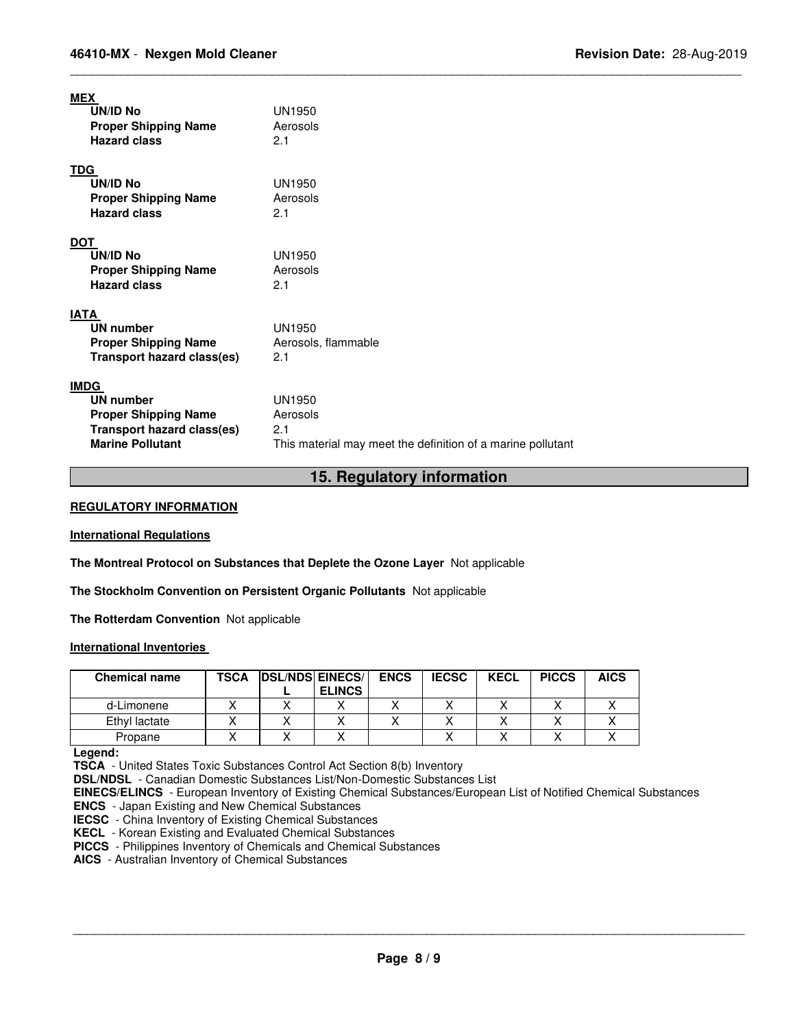| MEX<br>UN/ID No<br><b>Proper Shipping Name</b><br><b>Hazard class</b>                                                          | <b>UN1950</b><br>Aerosols<br>2.1                                                         |
|--------------------------------------------------------------------------------------------------------------------------------|------------------------------------------------------------------------------------------|
| <b>TDG</b><br>UN/ID No<br><b>Proper Shipping Name</b><br><b>Hazard class</b>                                                   | UN1950<br>Aerosols<br>2.1                                                                |
| <b>DOT</b><br>UN/ID No<br><b>Proper Shipping Name</b><br><b>Hazard class</b>                                                   | UN1950<br>Aerosols<br>2.1                                                                |
| <b>IATA</b><br><b>UN number</b><br><b>Proper Shipping Name</b><br><b>Transport hazard class(es)</b>                            | <b>UN1950</b><br>Aerosols, flammable<br>2.1                                              |
| <b>IMDG</b><br><b>UN number</b><br><b>Proper Shipping Name</b><br><b>Transport hazard class(es)</b><br><b>Marine Pollutant</b> | UN1950<br>Aerosols<br>2.1<br>This material may meet the definition of a marine pollutant |

# **15. Regulatory information**

\_\_\_\_\_\_\_\_\_\_\_\_\_\_\_\_\_\_\_\_\_\_\_\_\_\_\_\_\_\_\_\_\_\_\_\_\_\_\_\_\_\_\_\_\_\_\_\_\_\_\_\_\_\_\_\_\_\_\_\_\_\_\_\_\_\_\_\_\_\_\_\_\_\_\_\_\_\_\_\_\_\_\_\_\_\_\_\_\_\_\_\_\_

#### **REGULATORY INFORMATION**

#### **International Regulations**

**The Montreal Protocol on Substances that Deplete the Ozone Layer** Not applicable

**The Stockholm Convention on Persistent Organic Pollutants** Not applicable

**The Rotterdam Convention** Not applicable

#### **International Inventories**

| <b>TSCA</b> |               | <b>ENCS</b> | <b>IECSC</b>            | <b>KECL</b> | <b>PICCS</b> | <b>AICS</b> |
|-------------|---------------|-------------|-------------------------|-------------|--------------|-------------|
|             | <b>ELINCS</b> |             |                         |             |              |             |
|             |               |             |                         |             |              |             |
|             |               |             |                         |             |              |             |
|             |               |             |                         |             |              |             |
|             |               |             | <b>DSL/NDS EINECS/I</b> |             |              |             |

**Legend:** 

**TSCA** - United States Toxic Substances Control Act Section 8(b) Inventory

**DSL/NDSL** - Canadian Domestic Substances List/Non-Domestic Substances List

**EINECS/ELINCS** - European Inventory of Existing Chemical Substances/European List of Notified Chemical Substances **ENCS** - Japan Existing and New Chemical Substances

**IECSC** - China Inventory of Existing Chemical Substances

**KECL** - Korean Existing and Evaluated Chemical Substances

**PICCS** - Philippines Inventory of Chemicals and Chemical Substances

 **AICS** - Australian Inventory of Chemical Substances